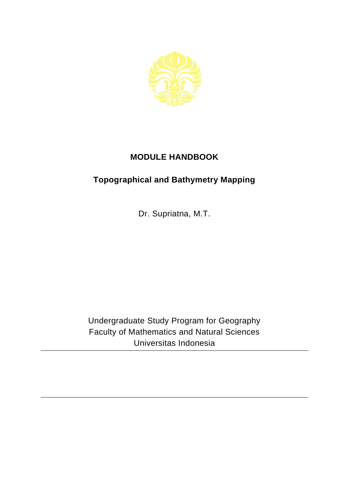

## **MODULE HANDBOOK**

## **Topographical and Bathymetry Mapping**

Dr. Supriatna, M.T.

Undergraduate Study Program for Geography Faculty of Mathematics and Natural Sciences Universitas Indonesia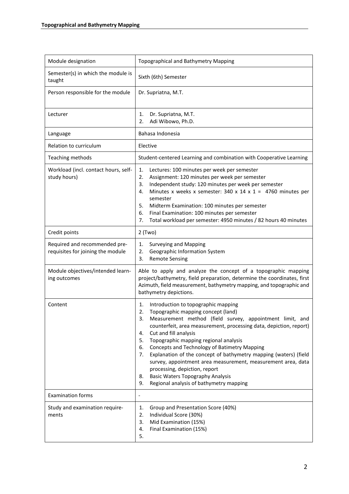| Module designation                                                 | <b>Topographical and Bathymetry Mapping</b>                                                                                                                                                                                                                                                                                                                                                                                                                                                                                                                                                                                                    |
|--------------------------------------------------------------------|------------------------------------------------------------------------------------------------------------------------------------------------------------------------------------------------------------------------------------------------------------------------------------------------------------------------------------------------------------------------------------------------------------------------------------------------------------------------------------------------------------------------------------------------------------------------------------------------------------------------------------------------|
| Semester(s) in which the module is<br>taught                       | Sixth (6th) Semester                                                                                                                                                                                                                                                                                                                                                                                                                                                                                                                                                                                                                           |
| Person responsible for the module                                  | Dr. Supriatna, M.T.                                                                                                                                                                                                                                                                                                                                                                                                                                                                                                                                                                                                                            |
| Lecturer                                                           | Dr. Supriatna, M.T.<br>1.<br>Adi Wibowo, Ph.D.<br>2.                                                                                                                                                                                                                                                                                                                                                                                                                                                                                                                                                                                           |
| Language                                                           | Bahasa Indonesia                                                                                                                                                                                                                                                                                                                                                                                                                                                                                                                                                                                                                               |
| Relation to curriculum                                             | Elective                                                                                                                                                                                                                                                                                                                                                                                                                                                                                                                                                                                                                                       |
| Teaching methods                                                   | Student-centered Learning and combination with Cooperative Learning                                                                                                                                                                                                                                                                                                                                                                                                                                                                                                                                                                            |
| Workload (incl. contact hours, self-<br>study hours)               | 1.<br>Lectures: 100 minutes per week per semester<br>2.<br>Assignment: 120 minutes per week per semester<br>Independent study: 120 minutes per week per semester<br>3.<br>Minutes x weeks x semester: 340 x 14 x 1 = 4760 minutes per<br>4.<br>semester<br>5.<br>Midterm Examination: 100 minutes per semester<br>Final Examination: 100 minutes per semester<br>6.<br>Total workload per semester: 4950 minutes / 82 hours 40 minutes<br>7.                                                                                                                                                                                                   |
| Credit points                                                      | $2$ (Two)                                                                                                                                                                                                                                                                                                                                                                                                                                                                                                                                                                                                                                      |
| Required and recommended pre-<br>requisites for joining the module | <b>Surveying and Mapping</b><br>1.<br>Geographic Information System<br>2.<br>3.<br><b>Remote Sensing</b>                                                                                                                                                                                                                                                                                                                                                                                                                                                                                                                                       |
| Module objectives/intended learn-<br>ing outcomes                  | Able to apply and analyze the concept of a topographic mapping<br>project/bathymetry, field preparation, determine the coordinates, first<br>Azimuth, field measurement, bathymetry mapping, and topographic and<br>bathymetry depictions.                                                                                                                                                                                                                                                                                                                                                                                                     |
| Content                                                            | Introduction to topographic mapping<br>1.<br>Topographic mapping concept (land)<br>2.<br>Measurement method (field survey, appointment limit, and<br>з.<br>counterfeit, area measurement, processing data, depiction, report)<br>Cut and fill analysis<br>4.<br>Topographic mapping regional analysis<br>5.<br>Concepts and Technology of Batimetry Mapping<br>6.<br>Explanation of the concept of bathymetry mapping (waters) (field<br>7.<br>survey, appointment area measurement, measurement area, data<br>processing, depiction, report<br><b>Basic Waters Topography Analysis</b><br>8.<br>Regional analysis of bathymetry mapping<br>9. |
| <b>Examination forms</b>                                           | $\overline{\phantom{a}}$                                                                                                                                                                                                                                                                                                                                                                                                                                                                                                                                                                                                                       |
| Study and examination require-<br>ments                            | Group and Presentation Score (40%)<br>1.<br>Individual Score (30%)<br>2.<br>Mid Examination (15%)<br>3.<br>Final Examination (15%)<br>4.<br>5.                                                                                                                                                                                                                                                                                                                                                                                                                                                                                                 |